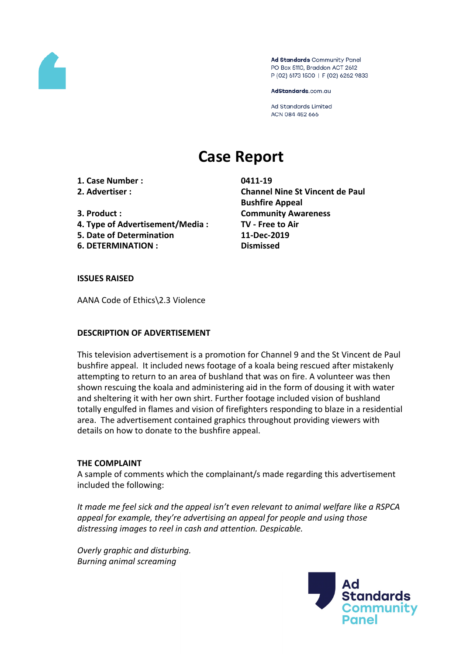

Ad Standards Community Panel PO Box 5110, Braddon ACT 2612 P (02) 6173 1500 | F (02) 6262 9833

AdStandards.com.au

**Ad Standards Limited** ACN 084 452 666

# **Case Report**

**1. Case Number : 0411-19**

- 
- 
- **4. Type of Advertisement/Media : TV - Free to Air**
- **5. Date of Determination 11-Dec-2019**
- **6. DETERMINATION : Dismissed**

**2. Advertiser : Channel Nine St Vincent de Paul Bushfire Appeal 3. Product : Community Awareness**

**ISSUES RAISED**

AANA Code of Ethics\2.3 Violence

## **DESCRIPTION OF ADVERTISEMENT**

This television advertisement is a promotion for Channel 9 and the St Vincent de Paul bushfire appeal. It included news footage of a koala being rescued after mistakenly attempting to return to an area of bushland that was on fire. A volunteer was then shown rescuing the koala and administering aid in the form of dousing it with water and sheltering it with her own shirt. Further footage included vision of bushland totally engulfed in flames and vision of firefighters responding to blaze in a residential area. The advertisement contained graphics throughout providing viewers with details on how to donate to the bushfire appeal.

## **THE COMPLAINT**

A sample of comments which the complainant/s made regarding this advertisement included the following:

*It made me feel sick and the appeal isn't even relevant to animal welfare like a RSPCA appeal for example, they're advertising an appeal for people and using those distressing images to reel in cash and attention. Despicable.*

*Overly graphic and disturbing. Burning animal screaming*

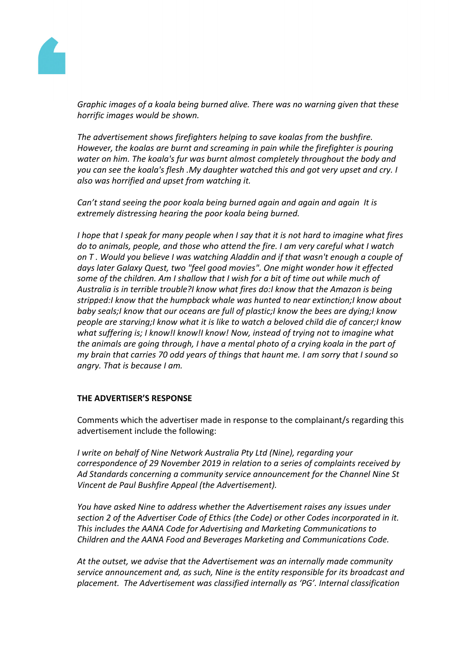

*Graphic images of a koala being burned alive. There was no warning given that these horrific images would be shown.*

*The advertisement shows firefighters helping to save koalas from the bushfire. However, the koalas are burnt and screaming in pain while the firefighter is pouring water on him. The koala's fur was burnt almost completely throughout the body and you can see the koala's flesh .My daughter watched this and got very upset and cry. I also was horrified and upset from watching it.*

*Can't stand seeing the poor koala being burned again and again and again It is extremely distressing hearing the poor koala being burned.*

I hope that I speak for many people when I say that it is not hard to imagine what fires *do to animals, people, and those who attend the fire. I am very careful what I watch on T . Would you believe I was watching Aladdin and if that wasn't enough a couple of days later Galaxy Quest, two "feel good movies". One might wonder how it effected some of the children. Am I shallow that I wish for a bit of time out while much of Australia is in terrible trouble?I know what fires do:I know that the Amazon is being stripped:I know that the humpback whale was hunted to near extinction;I know about baby seals;I know that our oceans are full of plastic;I know the bees are dying;I know people are starving;I know what it is like to watch a beloved child die of cancer;I know what suffering is; I know!I know!I know! Now, instead of trying not to imagine what the animals are going through, I have a mental photo of a crying koala in the part of my brain that carries 70 odd years of things that haunt me. I am sorry that I sound so angry. That is because I am.*

## **THE ADVERTISER'S RESPONSE**

Comments which the advertiser made in response to the complainant/s regarding this advertisement include the following:

*I write on behalf of Nine Network Australia Pty Ltd (Nine), regarding your correspondence of 29 November 2019 in relation to a series of complaints received by Ad Standards concerning a community service announcement for the Channel Nine St Vincent de Paul Bushfire Appeal (the Advertisement).*

*You have asked Nine to address whether the Advertisement raises any issues under section 2 of the Advertiser Code of Ethics (the Code) or other Codes incorporated in it. This includes the AANA Code for Advertising and Marketing Communications to Children and the AANA Food and Beverages Marketing and Communications Code.*

*At the outset, we advise that the Advertisement was an internally made community service announcement and, as such, Nine is the entity responsible for its broadcast and placement. The Advertisement was classified internally as 'PG'. Internal classification*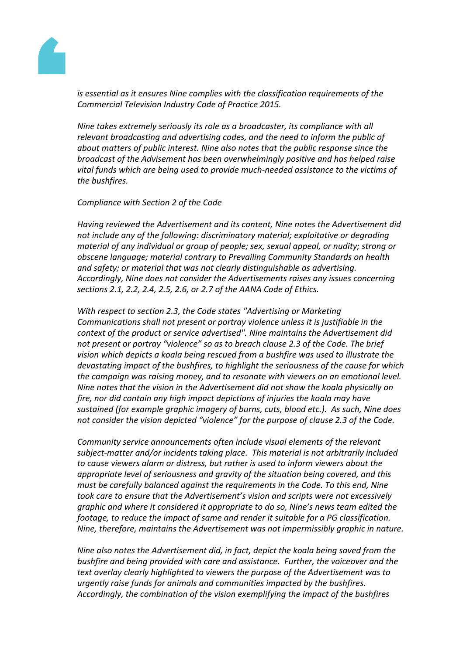

*is essential as it ensures Nine complies with the classification requirements of the Commercial Television Industry Code of Practice 2015.*

*Nine takes extremely seriously its role as a broadcaster, its compliance with all relevant broadcasting and advertising codes, and the need to inform the public of about matters of public interest. Nine also notes that the public response since the broadcast of the Advisement has been overwhelmingly positive and has helped raise vital funds which are being used to provide much-needed assistance to the victims of the bushfires.*

*Compliance with Section 2 of the Code*

*Having reviewed the Advertisement and its content, Nine notes the Advertisement did not include any of the following: discriminatory material; exploitative or degrading material of any individual or group of people; sex, sexual appeal, or nudity; strong or obscene language; material contrary to Prevailing Community Standards on health and safety; or material that was not clearly distinguishable as advertising. Accordingly, Nine does not consider the Advertisements raises any issues concerning sections 2.1, 2.2, 2.4, 2.5, 2.6, or 2.7 of the AANA Code of Ethics.*

*With respect to section 2.3, the Code states "Advertising or Marketing Communications shall not present or portray violence unless it is justifiable in the context of the product or service advertised". Nine maintains the Advertisement did not present or portray "violence" so as to breach clause 2.3 of the Code. The brief vision which depicts a koala being rescued from a bushfire was used to illustrate the devastating impact of the bushfires, to highlight the seriousness of the cause for which the campaign was raising money, and to resonate with viewers on an emotional level. Nine notes that the vision in the Advertisement did not show the koala physically on fire, nor did contain any high impact depictions of injuries the koala may have sustained (for example graphic imagery of burns, cuts, blood etc.). As such, Nine does not consider the vision depicted "violence" for the purpose of clause 2.3 of the Code.* 

*Community service announcements often include visual elements of the relevant subject-matter and/or incidents taking place. This material is not arbitrarily included to cause viewers alarm or distress, but rather is used to inform viewers about the appropriate level of seriousness and gravity of the situation being covered, and this must be carefully balanced against the requirements in the Code. To this end, Nine took care to ensure that the Advertisement's vision and scripts were not excessively graphic and where it considered it appropriate to do so, Nine's news team edited the footage, to reduce the impact of same and render it suitable for a PG classification. Nine, therefore, maintains the Advertisement was not impermissibly graphic in nature.*

*Nine also notes the Advertisement did, in fact, depict the koala being saved from the bushfire and being provided with care and assistance. Further, the voiceover and the text overlay clearly highlighted to viewers the purpose of the Advertisement was to urgently raise funds for animals and communities impacted by the bushfires. Accordingly, the combination of the vision exemplifying the impact of the bushfires*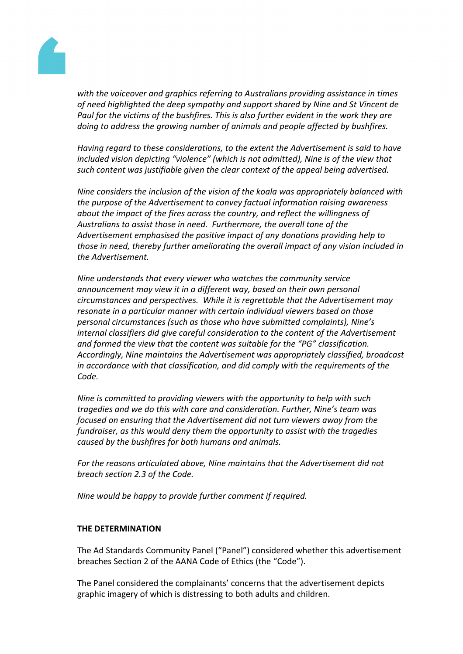

*with the voiceover and graphics referring to Australians providing assistance in times of need highlighted the deep sympathy and support shared by Nine and St Vincent de Paul for the victims of the bushfires. This is also further evident in the work they are doing to address the growing number of animals and people affected by bushfires.* 

*Having regard to these considerations, to the extent the Advertisement is said to have included vision depicting "violence" (which is not admitted), Nine is of the view that such content was justifiable given the clear context of the appeal being advertised.*

*Nine considers the inclusion of the vision of the koala was appropriately balanced with the purpose of the Advertisement to convey factual information raising awareness about the impact of the fires across the country, and reflect the willingness of Australians to assist those in need. Furthermore, the overall tone of the Advertisement emphasised the positive impact of any donations providing help to those in need, thereby further ameliorating the overall impact of any vision included in the Advertisement.*

*Nine understands that every viewer who watches the community service announcement may view it in a different way, based on their own personal circumstances and perspectives. While it is regrettable that the Advertisement may resonate in a particular manner with certain individual viewers based on those personal circumstances (such as those who have submitted complaints), Nine's internal classifiers did give careful consideration to the content of the Advertisement and formed the view that the content was suitable for the "PG" classification. Accordingly, Nine maintains the Advertisement was appropriately classified, broadcast in accordance with that classification, and did comply with the requirements of the Code.*

*Nine is committed to providing viewers with the opportunity to help with such tragedies and we do this with care and consideration. Further, Nine's team was focused on ensuring that the Advertisement did not turn viewers away from the fundraiser, as this would deny them the opportunity to assist with the tragedies caused by the bushfires for both humans and animals.*

*For the reasons articulated above, Nine maintains that the Advertisement did not breach section 2.3 of the Code.*

*Nine would be happy to provide further comment if required.*

## **THE DETERMINATION**

The Ad Standards Community Panel ("Panel") considered whether this advertisement breaches Section 2 of the AANA Code of Ethics (the "Code").

The Panel considered the complainants' concerns that the advertisement depicts graphic imagery of which is distressing to both adults and children.